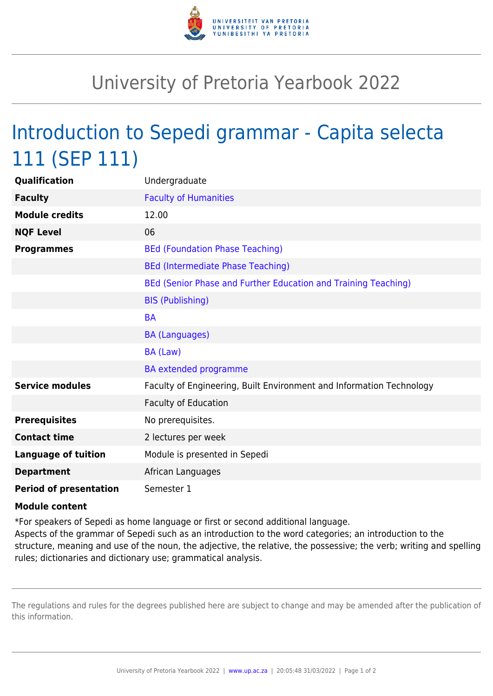

## University of Pretoria Yearbook 2022

## Introduction to Sepedi grammar - Capita selecta 111 (SEP 111)

| Qualification                 | Undergraduate                                                        |
|-------------------------------|----------------------------------------------------------------------|
| <b>Faculty</b>                | <b>Faculty of Humanities</b>                                         |
| <b>Module credits</b>         | 12.00                                                                |
| <b>NQF Level</b>              | 06                                                                   |
| <b>Programmes</b>             | <b>BEd (Foundation Phase Teaching)</b>                               |
|                               | <b>BEd (Intermediate Phase Teaching)</b>                             |
|                               | BEd (Senior Phase and Further Education and Training Teaching)       |
|                               | <b>BIS (Publishing)</b>                                              |
|                               | <b>BA</b>                                                            |
|                               | <b>BA (Languages)</b>                                                |
|                               | BA (Law)                                                             |
|                               | <b>BA</b> extended programme                                         |
| <b>Service modules</b>        | Faculty of Engineering, Built Environment and Information Technology |
|                               | <b>Faculty of Education</b>                                          |
| <b>Prerequisites</b>          | No prerequisites.                                                    |
| <b>Contact time</b>           | 2 lectures per week                                                  |
| <b>Language of tuition</b>    | Module is presented in Sepedi                                        |
| <b>Department</b>             | African Languages                                                    |
| <b>Period of presentation</b> | Semester 1                                                           |

## **Module content**

\*For speakers of Sepedi as home language or first or second additional language.

Aspects of the grammar of Sepedi such as an introduction to the word categories; an introduction to the structure, meaning and use of the noun, the adjective, the relative, the possessive; the verb; writing and spelling rules; dictionaries and dictionary use; grammatical analysis.

The regulations and rules for the degrees published here are subject to change and may be amended after the publication of this information.